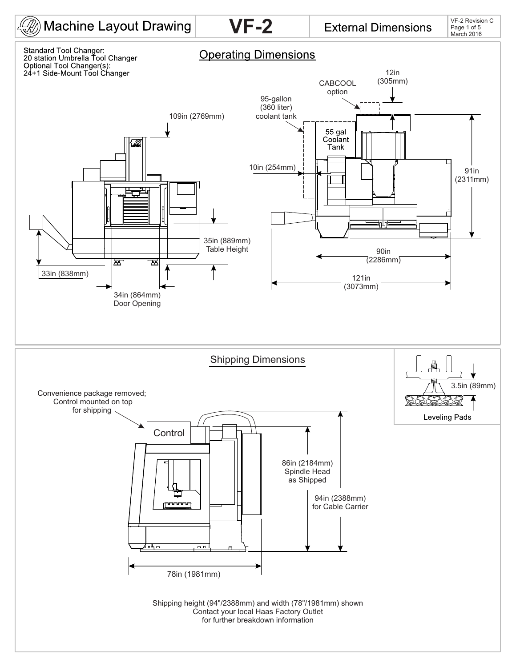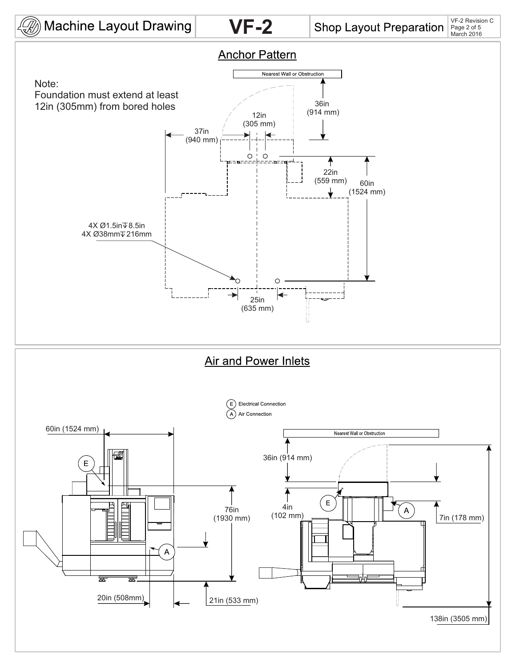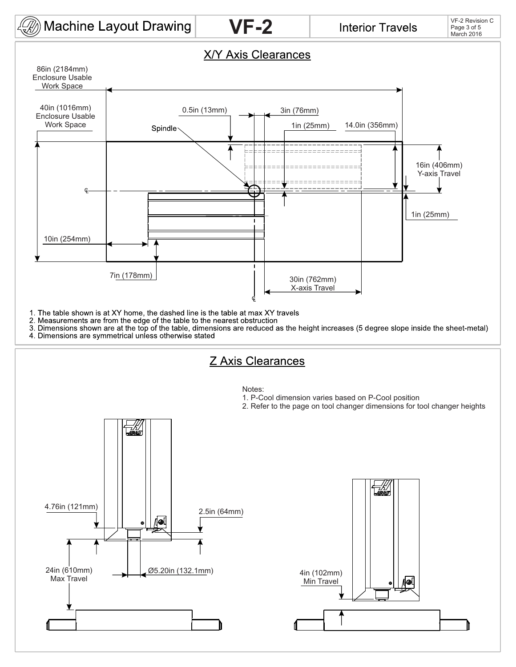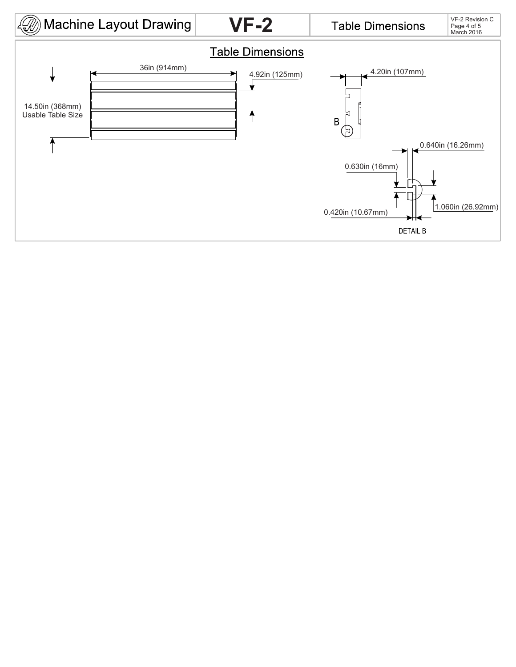